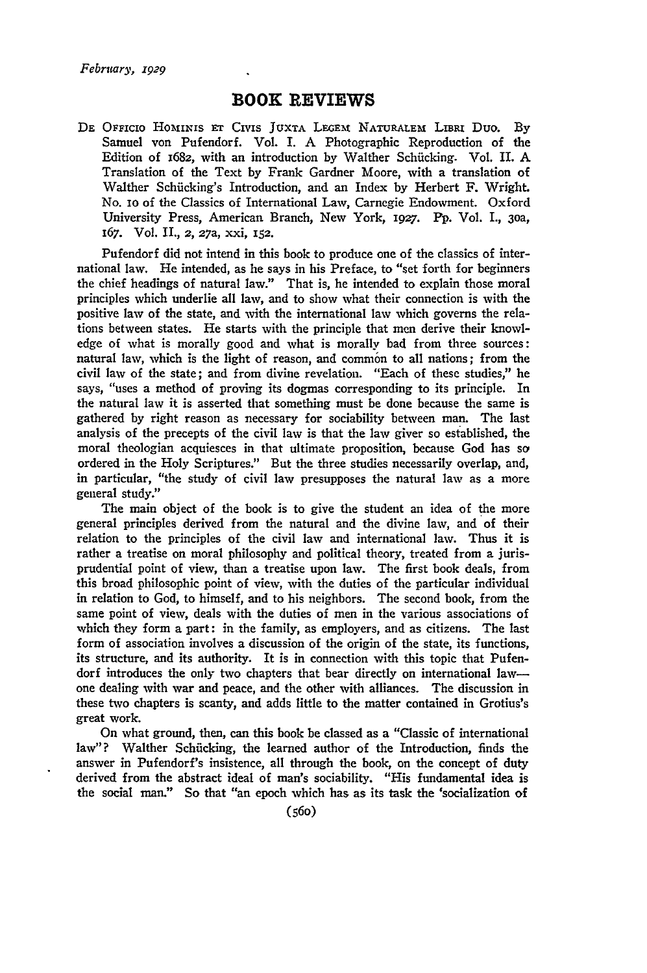## **BOOK REVIEWS**

DE OFFiciO **Homits Er** Civis **JuxrA LEGESt NATURALEm** LiBas Duo. **By** Samuel von Pufendorf. Vol. I. A Photographic Reproduction of the Edition of 1682, with an introduction by Walther Schücking. Vol. II. A Translation of the Text **by** Frank Gardner Moore, with a translation of Walther Schiicking's Introduction, and an Index **by** Herbert F. Wright. No. **IO** of the Classics of International Law, Carnegie Endowment. Oxford University Press, American Branch, New York, I927. **Pp.** Vol. I., 3oa, 167. Vol. **II., 2,** 27a, xxi, **152.**

Pufendorf did not intend in this book to produce one of the classics of international law. He intended, as he says in his Preface, to "set forth for beginners the chief headings of natural law." That is, he intended to explain those moral principles which underlie all law, and to show what their connection is with the positive law of the state, and with the international law which governs the relations between states. He starts with the principle that men derive their knowledge of what is morally good and what is morally bad from three sources: natural law, which is the light of reason, and common to all nations; from the civil law of the state; and from divine revelation. "Each of these studies," he says, "uses a method of proving its dogmas corresponding to its principle. In the natural law it is asserted that something must be done because the same is gathered **by** right reason as necessary for sociability between man. The last analysis of the precepts of the civil law is that the law giver so established, the moral theologian acquiesces in that ultimate proposition, because God has so ordered in the Holy Scriptures." But the three studies necessarily overlap, and, in particular, "the study of civil law presupposes the natural law as a more general study."

The main object of the book is to give the student an idea of the more general principles derived from the natural and the divine law, and of their relation to the principles of the civil law and international law. Thus it is rather a treatise on moral philosophy and political theory, treated from a jurisprudential point of view, than a treatise upon law. The first book deals, from this broad philosophic point of view, with the duties of the particular individual in relation to God, to himself, and to his neighbors. The second book, from the same point of view, deals with the duties of men in the various associations of which they form a part: in the family, as employers, and as citizens. The last form of association involves a discussion of the origin of the state, its functions, its structure, and its authority. It is in connection with this topic that Pufendorf introduces the only two chapters that bear directly on international lawone dealing with war and peace, and the other with alliances. The discussion in these two chapters is scanty, and adds little to the matter contained in Grotius's great work.

On what ground, then, can this book be classed as a "Classic of international law"? Walther Schücking, the learned author of the Introduction, finds the answer in Pufendorf's insistence, all through the book, on the concept of duty derived from the abstract ideal of man's sociability. "His fundamental idea is the social man." **So** that "an epoch which has as its task the 'socialization of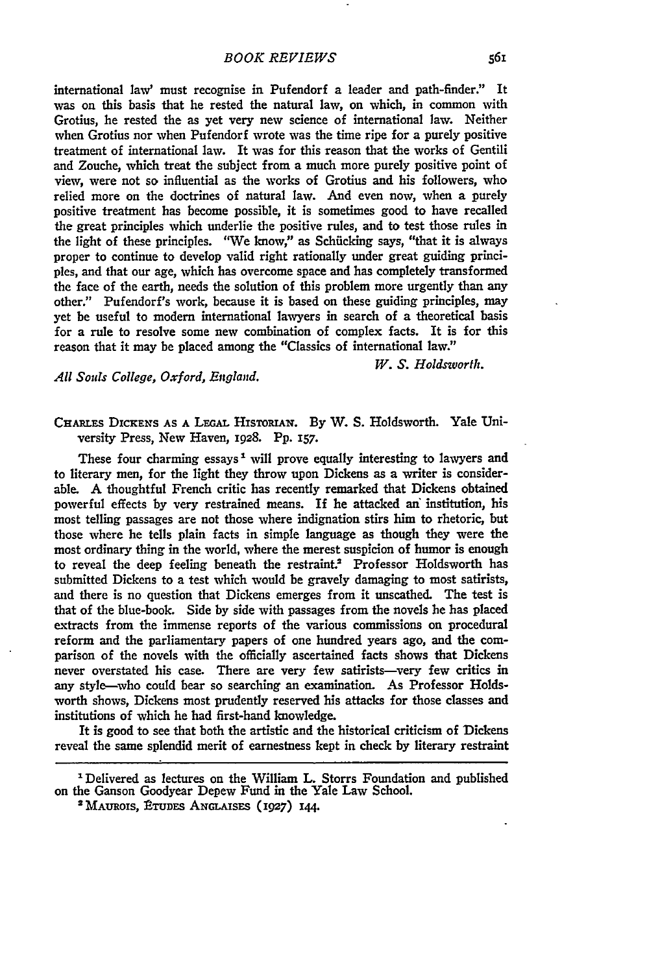international law' must recognise in Pufendorf a leader and path-finder." It was on this basis that he rested the natural law, on which, in common with Grotius, he rested the as yet very new science of international law. Neither when Grotius nor when Pufendorf wrote was the time ripe for a purely positive treatment of international law. It was for this reason that the works of Gentili and Zouche, which treat the subject from a much more purely positive point of view, were not so influential as the works of Grotius and his followers, who relied more on the doctrines of natural law. And even now, when a purely positive treatment has become possible, it is sometimes good to have recalled the great principles which underlie the positive rules, and to test those rules in the light of these principles. "We know," as Schücking says, "that it is always proper to continue to develop valid right rationally under great guiding principles, and that our age, which has overcome space and has completely transformed the face of the earth, needs the solution of this problem more urgently than any other." Pufendorf's work, because it is based on these guiding principles, may yet be useful to modern international lawyers in search of a theoretical basis for a rule to resolve some new combination of complex facts. It is for this reason that it may be placed among the "Classics of international law."

*All Souls College, Oxford, England.*

*W. S. Holdszvorth.*

## CHARLES DICKENS AS A LEGAL HISTORIAN. By W. S. Holdsworth. Yale University Press, New Haven, **1928.** Pp. **157.**

These four charming essays' will prove equally interesting to lawyers and to literary men, for the light they throw upon Dickens as a writer is considerable. A thoughtful French critic has recently remarked that Dickens obtained powerful effects **by** very restrained means. **If** he attacked **an"** institution, his most telling passages are not those where indignation stirs him to rhetoric, but those where he tells plain facts in simple language as though they were the most ordinary thing in the world, where the merest suspicion of humor is enough to reveal the deep feeling beneath the restraint.<sup>2</sup> Professor Holdsworth has submitted Dickens to a test which would be gravely damaging to most satirists, and there is no question that Dickens emerges from it unscathed. The test is that of the blue-book. Side **by** side with passages from the novels he has placed extracts from the immense reports of the various commissions on procedural reform and the parliamentary papers of one hundred years ago, and the comparison of the novels with the officially ascertained facts shows that Dickens never overstated his case. There are very few satirists—very few critics in any style-who could bear so searching an examination. As Professor Holdsworth shows, Dickens most prudently reserved his attacks for those classes and institutions of which he had first-hand knowledge.

It is good to see that both the artistic and the historical criticism of Dickens reveal the same splendid merit of earnestness kept in check **by** literary restraint

<sup>&#</sup>x27;Delivered as lectures on the William L. Storrs Foundation and published on the Ganson Goodyear Depew Fund in the Yale Law School.

<sup>&</sup>lt;sup>2</sup> Maurois, Études Anglaises (1927) 144.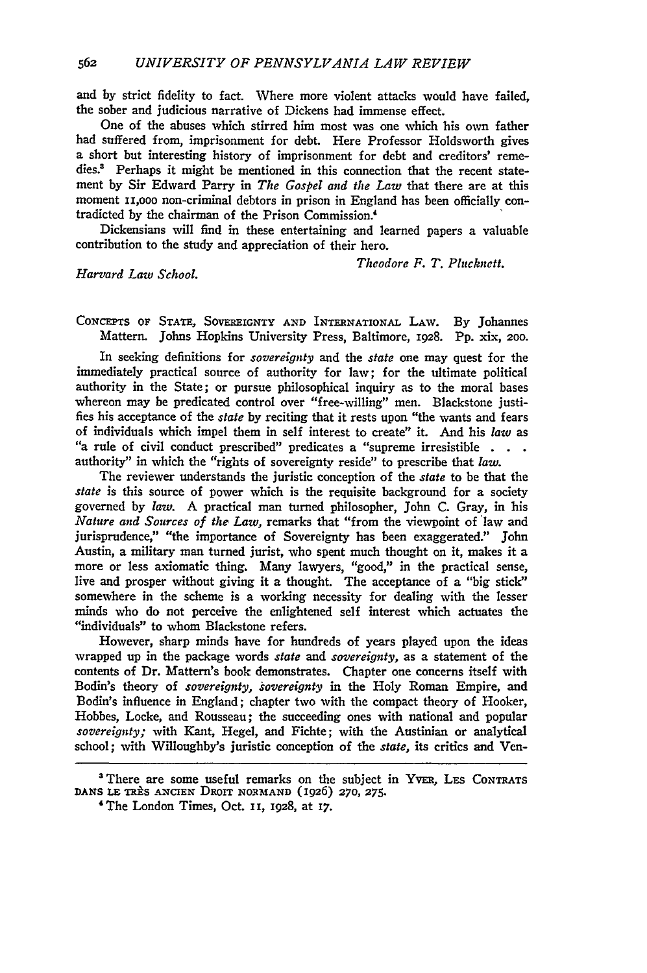and by strict fidelity to fact. Where more violent attacks would have failed, the sober and judicious narrative of Dickens had immense effect.

One of the abuses which stirred him most was one which his own father had suffered from, imprisonment for debt. Here Professor Holdsworth gives a short but interesting history of imprisonment for debt and creditors' remedies.<sup>3</sup> Perhaps it might be mentioned in this connection that the recent statement by Sir Edward Parry in *The Gospel and the Law* that there are at this moment 11,000 non-criminal debtors in prison in England has been officially contradicted by the chairman of the Prison Commission.'

Dickensians will find in these entertaining and learned papers a valuable contribution to the study and appreciation of their hero.

*Harvard Law School.*

*Theodore F. T. Plucknett.*

CONCEPTS OF STATE, SOVEREIGNTY **AND** INTERNATIONAL LAW. By Johannes Mattern. Johns Hopkins University Press, Baltimore, 1928. Pp. xix, **200.**

In seeking definitions for *sovereignty* and the *state* one may quest for the immediately practical source of authority for law; for the ultimate political authority in the State; or pursue philosophical inquiry as to the moral bases whereon may be predicated control over "free-willing" men. Blackstone justifies his acceptance of the *state* by reciting that it rests upon "the wants and fears of individuals which impel them in self interest to create" it. And his *law* as "a rule of civil conduct prescribed" predicates a "supreme irresistible **.** authority" in which the "rights of sovereignty reside" to prescribe that *law.*

The reviewer understands the juristic conception of the *state* to be that the *state* is this source of power which is the requisite background for a society governed by *law.* A practical man turned philosopher, John C. Gray, in his *Nature and Sources of the Law,* remarks that "from the viewpoint of law and jurisprudence," "the importance of Sovereignty has been exaggerated." John Austin, a military man turned jurist, who spent much thought on it, makes it a more or less axiomatic thing. Many lawyers, "good," in the practical sense, live and prosper without giving it a thought. The acceptance of a "big stick" somewhere in the scheme is a working necessity for dealing with the lesser minds who do not perceive the enlightened self interest which actuates the "individuals" to whom Blackstone refers.

However, sharp minds have for hundreds of years played upon the ideas wrapped up in the package words *state and sovereignty,* as a statement of the contents of Dr. Mattern's book demonstrates. Chapter one concerns itself with Bodin's theory of *sovereignty, sovereignty* in the Holy Roman Empire, and Bodin's influence in England; chapter two with the compact theory of Hooker, Hobbes, Locke, and Rousseau; the succeeding ones with national and popular *sovereignty;* with Kant, Hegel, and Fichte; with the Austinian or analytical school; with Willoughby's juristic conception of the *state,* its critics and Ven-

<sup>&</sup>lt;sup>3</sup> There are some useful remarks on the subject in YvER, LES CONTRATS **DANS LE TRÈS ANCIEN DROIT NORMAND (1926) 270, 275.** 

<sup>&#</sup>x27;The London Times, Oct. **i,** 1928, at **17.**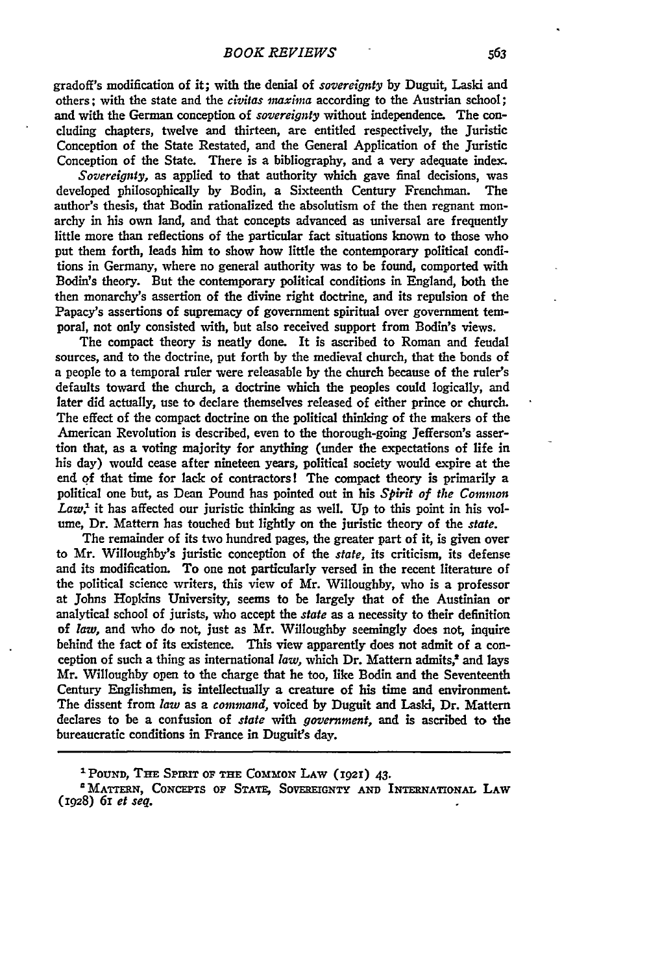gradoff's modification of it; with the denial of *sovereignty* **by** Duguit, Laski and others; with the state and the *civitas mnaxima* according to the Austrian school; and with the German conception of *sovereignty* without independence. The concluding chapters, twelve and thirteen, are entitled respectively, the Juristic Conception of the State Restated, and the General Application of the Juristic Conception of the State. There is a bibliography, and a very adequate index.

*Sovereignty,* as applied to that authority which gave final decisions, was developed philosophically by Bodin, a Sixteenth Century Frenchman. The author's thesis, that Bodin rationalized the absolutism of the then regnant monarchy in his own land, and that concepts advanced as universal are frequently little more than reflections of the particular fact situations known to those who put them forth, leads him to show how little the contemporary political conditions in Germany, where no general authority was to be found, comported with Bodin's theory. But the contemporary political conditions in England, both the then monarchy's assertion of the divine right doctrine, and its repulsion of the Papacy's assertions of supremacy of government spiritual over government temporal, not only consisted with, but also received support from Bodin's views.

The compact theory is neatly done. It is ascribed to Roman and feudal sources, and to the doctrine, put forth **by** the medieval church, that the bonds of a people to a temporal ruler were releasable **by** the church because of the ruler's defaults toward the church, a doctrine which the peoples could logically, and later did actually, use to declare themselves released of either prince or church. The effect of the compact doctrine on the political thinking of the makers of the American Revolution is described, even to the thorough-going Jefferson's assertion that, as a voting majority for anything (under the expectations of life in his day) would cease after nineteen years, political society would expire at the end **of** that time for lack of contractors **I** The compact theory is primarily a political one but, as Dean Pound has pointed out in his *Spirit of the Common Law* it has affected our juristic thinking as well. **Up** to this point in his volume, Dr. Mattern has touched but lightly on the juristic theory of the *state.*

The remainder of its two hundred pages, the greater part of it, is given over to Mr. Willoughby's juristic conception of the *state,* its criticism, its defense and its modification. To one not particularly versed in the recent literature of the political science writers, this view of Mr. Willoughby, who is a professor at Johns Hopkins University, seems to be largely that of the Austinian or analytical school of jurists, who accept the *state* as a necessity to their definition of *law,* and who do not, just as Mr. Willoughby seemingly does not, inquire behind the fact of its existence. This view apparently does not admit of a conception of such a thing as international *law*, which Dr. Mattern admits,<sup>2</sup> and lays Mr. Willoughby open to the charge that he too, like Bodin and the Seventeenth Century Englishmen, is intellectually a creature of his time and environment. The dissent from *law* as a *command,* voiced **by** Duguit and Laski, Dr. Mattern declares to be a confusion of *state with government,* and is ascribed to the bureaucratic conditions in France in Duguit's day.

<sup>&</sup>lt;sup>1</sup> POUND, THE SPIRIT OF THE COMMON LAW (1921) 43.

<sup>&</sup>lt;sup>2</sup> MATTERN, CONCEPTS OF STATE, SOVEREIGNTY AND INTERNATIONAL LAW (1928) 6r *et seq.*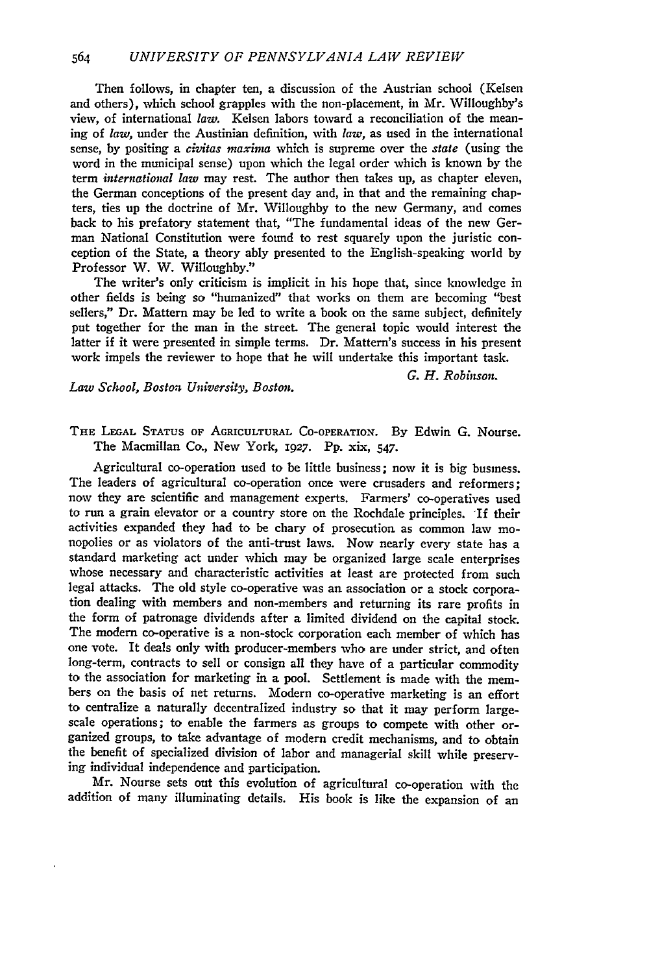Then follows, in chapter ten, a discussion of the Austrian school (Kelsen and others), which school grapples with the non-placement, in Mr. Willoughby's view, of international *law.* Kelsen labors toward a reconciliation of the meaning of *law,* under the Austinian definition, with *law,* as used in the international sense, by positing a *cvitas maxima* which is supreme over the state (using the word in the municipal sense) upon which the legal order which is known **by** the term *international law* may rest. The author then takes up, as chapter eleven, the German conceptions of the present day and, in that and the remaining chapters, ties up the doctrine of Mr. Willoughby to the new Germany, and comes back to his prefatory statement that, "The fundamental ideas of the new German National Constitution were found to rest squarely upon the juristic conception of the State, a theory ably presented to the English-speaking world by Professor W. W. Willoughby."

The writer's only criticism is implicit in his hope that, since knowledge in other fields is being so "humanized" that works on them are becoming "best sellers," Dr. Mattern may be led to write a book on the same subject, definitely put together for the man in the street. The general topic would interest the latter if it were presented in simple terms. Dr. Mattern's success in his present work impels the reviewer to hope that he will undertake this important task.

*G. H. Robinson.*

Law School, Boston University, Boston.

TnE LEGAL **STATUS OF AGRICULTURAL** CO-OPERATION. By Edwin **G.** Nourse. The Macmillan Co., New York, 1927. Pp. xix, 547.

Agricultural co-operation used to be little business; now it is big business. The leaders of agricultural co-operation once were crusaders and reformers; now they are scientific and management experts. Farmers' co-operatives used to run a grain elevator or a country store on the Rochdale principles. If their activities expanded they had to be chary of prosecution as common law monopolies or as violators of the anti-trust laws. Now nearly every state has a standard marketing act under which may be organized large scale enterprises whose necessary and characteristic activities at least are protected from such legal attacks. The old style co-operative was an association or a stock corporation dealing with members and non-members and returning its rare profits in the form of patronage dividends after a limited dividend on the capital stock. The modem co-operative is a non-stock corporation each member of which has one vote. It deals only with producer-members who are under strict, and often long-term, contracts to sell or consign all they have of a particular commodity to the association for marketing in a pool. Settlement is made with the members on the basis of net returns. Modern co-operative marketing is an effort to centralize a naturally decentralized industry so that it may perform largescale operations; to enable the farmers as groups to compete with other organized groups, to take advantage of modern credit mechanisms, and to obtain the benefit of specialized division of labor and managerial skill while preserving individual independence and participation.

Mr. Nourse sets out this evolution of agricultural co-operation with the addition of many illuminating details. His book is like the expansion of an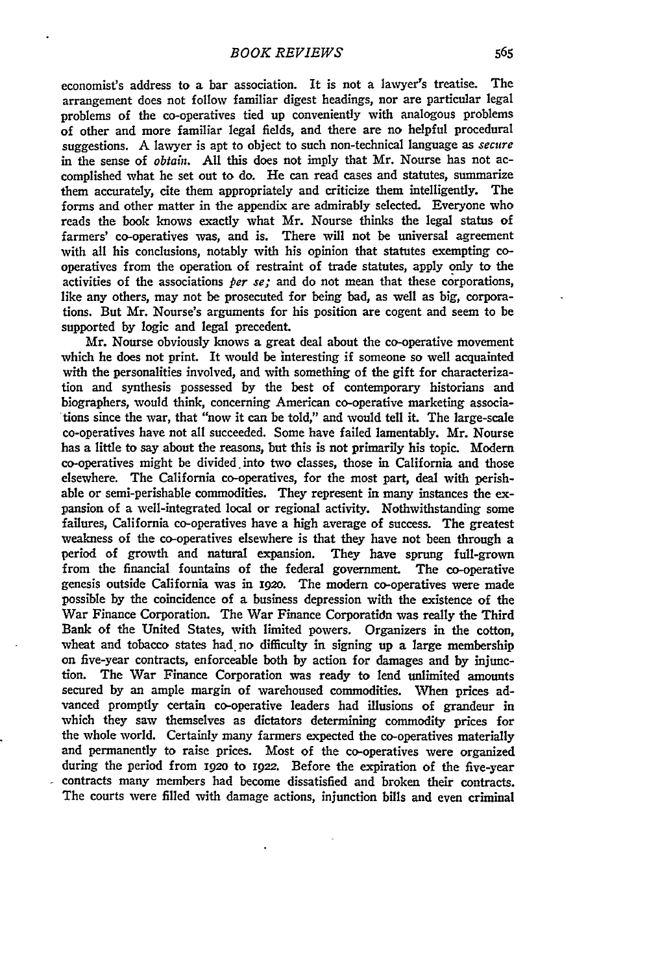economist's address to a bar association. It is not a lawyer's treatise. The arrangement does not follow familiar digest headings, nor are particular legal problems of the co-operatives tied up conveniently with analogous problems of other and more familiar legal fields, and there are no helpful procedural suggestions. **A** lawyer is apt to object to such non-technical language as *secure* in the sense of *obtain.* **All** this does not imply that Mr. Nourse has not accomplished what he set out to do. He can read cases and statutes, summarize them accurately, cite them appropriately and criticize them intelligently. The forms and other matter in the appendix are admirably selected. Everyone who reads the book knows exactly what Mr. Nourse thinks the legal status of farmers' co-operatives was, and is. There will not be universal agreement with all his conclusions, notably with his opinion that statutes exempting cooperatives from the operation of restraint of trade statutes, apply only to the activities of the associations *per se;* and do not mean that these corporations, like any others, may not be prosecuted for being bad, as well as big, corporations. But Mr. Nourse's arguments for his position are cogent and seem to be supported **by** logic and legal precedent.

Mr. Nourse obviously knows a great deal about the co-operative movement which he does not print. It would be interesting if someone so well acquainted with the personalities involved, and with something of the gift for characterization and synthesis possessed **by** the best of contemporary historians and biographers, would think, concerning American co-operative marketing associations since the war, that "now it can be told," and would tell it. The large-scale co-operatives have not all succeeded. Some have failed lamentably. Mr. Nourse has a little to say about the reasons, but this is not primarily his topic. Modem co-operatives might be divided into two classes, those in California and those elsewhere. The California co-operatives, for the most part, deal with perishable or semi-perishable commodities. They represent in many instances the expansion of a well-integrated local or regional activity. Nothwithstanding some failures, California co-operatives have a high average of success. The greatest weakness of the co-operatives elsewhere is that they have not been through a period of growth and natural expansion. They have sprung full-grown from the financial fountains of the federal government. The co-operative genesis outside California was in **ig2o.** The modern co-operatives were made possible **by** the coincidence of a business depression with the existence of the War Finance Corporation. The War Finance Corporatidn was really the Third Bank of the United States, with limited powers. Organizers in the cotton, wheat and tobacco states had, no difficulty in signing up a large membership on five-year contracts, enforceable both **by** action for damages and **by** injunction. The War Finance Corporation was ready to lend unlimited amounts secured **by** an ample margin of warehoused commodities. When prices advanced promptly certain co-operative leaders had illusions of grandeur in which they saw themselves as dictators determining commodity prices for the whole world. Certainly many farmers expected the co-operatives materially and permanently to raise prices. Most of the co-operatives were organized during the period from *192o* to 1922. Before the expiration of the five-year contracts many members had become dissatisfied and broken their contracts. The courts were filled with damage actions, injunction bills and even criminal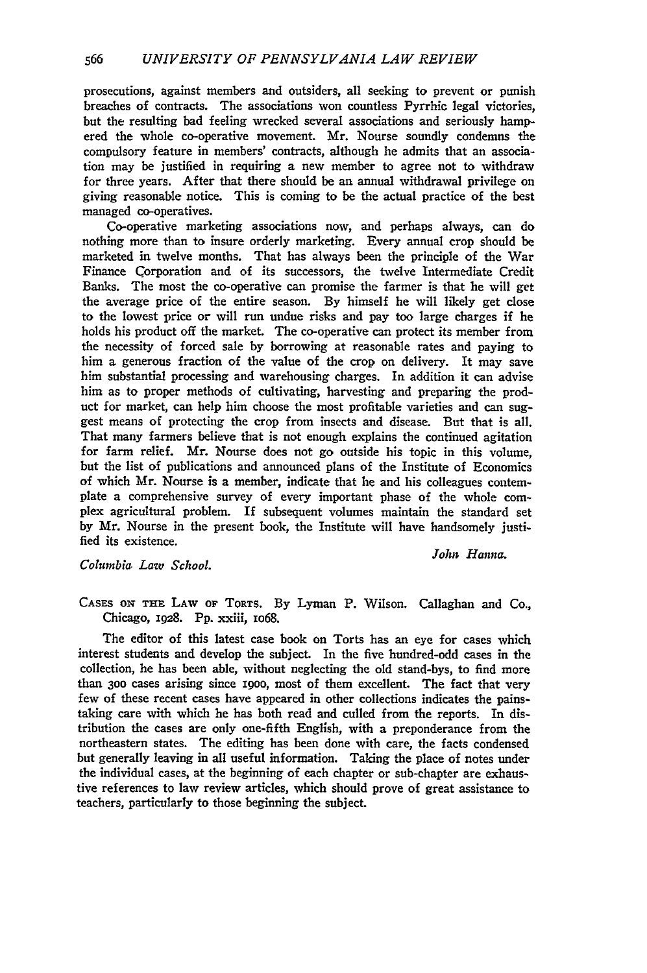prosecutions, against members and outsiders, all seeking to prevent or punish breaches of contracts. The associations won countless Pyrrhic legal victories, but the resulting bad feeling wrecked several associations and seriously hampered the whole co-operative movement. Mr. Nourse soundly condemns the compulsory feature in members' contracts, although he admits that an association may be justified in requiring a new member to agree not to withdraw for three years. After that there should be an annual withdrawal privilege on giving reasonable notice. This is coming to be the actual practice of the best managed co-operatives.

Co-operative marketing associations now, and perhaps always, can do nothing more than to insure orderly marketing. Every annual crop should be marketed in twelve months. That has always been the principle of the War Finance Corporation and of its successors, the twelve Intermediate Credit Banks. The most the co-operative can promise the farmer is that he will get the average price of the entire season. **By** himself he will likely get close to the lowest price or will run undue risks and pay too large charges if he holds his product off the market. The co-operative can protect its member from the necessity of forced sale **by** borrowing at reasonable rates and paying to him a generous fraction of the value of the crop on delivery. It may save him substantial processing and warehousing charges. In addition it can advise him as to proper methods of cultivating, harvesting and preparing the product for market, can help him choose the most profitable varieties and can suggest means of protecting the crop from insects and disease. But that is all. That many farmers believe that is not enough explains the continued agitation for farm relief. Mr. Nourse does not go outside his topic in this volume, but the list of publications and announced plans of the Institute of Economics of which Mr. Nourse is a member, indicate that he and his colleagues contemplate a comprehensive survey of every important phase of the whole complex agricultural problem. If subsequent volumes maintain the standard set **by** Mr. Nourse in the present book, the Institute will have handsomely justified its existence.

*Columbia Law School.*

*John Hanna.*

CASES ON THE LAW OF TORTS. By Lyman P. Wilson. Callaghan and Co., Chicago, **1928.** Pp. xxiii, **1068.**

The editor of this latest case book on Torts has an eye for cases which interest students and develop the subject. In the five hundred-odd cases in the collection, he has been able, without neglecting the old stand-bys, to find more than **3oo** cases arising since **9oo,** most of them excellent. The fact that very few of these recent cases have appeared in other collections indicates the painstaking care with which he has both read and culled from the reports. In distribution the cases are only one-fifth English, with a preponderance from the northeastern states. The editing has been done with care, the facts condensed but generally leaving in all useful information. Taking the place of notes under the individual cases, at the beginning of each chapter or sub-chapter are exhaustive references to law review articles, which should prove of great assistance to teachers, particularly to those beginning the subject.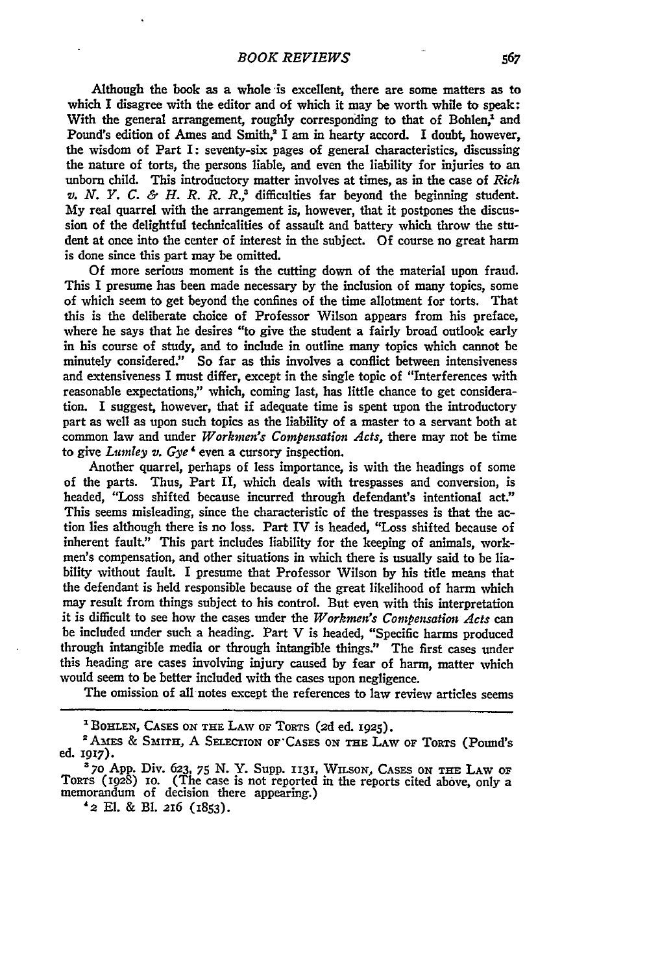Although the book as a whole is excellent, there are some matters as to which I disagree with the editor and of which it may be worth while to speak: With the general arrangement, roughly corresponding to that of **Bohlen, <sup>1</sup>**and Pound's edition of Ames and Smith,<sup>2</sup> I am in hearty accord. I doubt, however, the wisdom of Part I: seventy-six pages of general characteristics, discussing the nature of torts, the persons liable, and even the liability for injuries to an unborn child. This introductory matter involves at times, as in the case of *Rich v. N.* **Y.** *C. & H. R. R. R.,* difficulties far beyond the beginning student. **My** real quarrel with the arrangement is, however, that it postpones the discussion of the delightful technicalities of assault and battery which throw the student at once into the center of interest in the subject. **Of** course no great harm is done since this part may be omitted.

**Of** more serious moment is the cutting down of the material upon fraud. This **I** presume has been made necessary **by** the inclusion of many topics, some of which seem to get beyond the confines of the time allotment for torts. That this is the deliberate choice of Professor Wilson appears from his preface, where he says that he desires "to give the student a fairly broad outlook early in his course of study, and to include in outline many topics which cannot be minutely considered." So far as this involves a conflict between intensiveness and extensiveness I must differ, except in the single topic of "Interferences with reasonable expectations," which, coming last, has little chance to get consideration. I suggest, however, that if adequate time is spent upon the introductory part as well as upon such topics as the liability of a master to a servant both at common law and under *Workmen's Compensation Acts,* there may not be time to give *Lumley v. Gye*<sup>4</sup> even a cursory inspection.

Another quarrel, perhaps of less importance, is with the headings of some of the parts. Thus, Part II, which deals with trespasses and conversion, is headed, 'Toss shifted because incurred through defendant's intentional act." This seems misleading, since the characteristic of the trespasses is that the action lies although there is no loss. Part IV is headed, "Loss shifted because of inherent fault" This part includes liability for the keeping of animals, workmen's compensation, and other situations in which there is usually said to be liability without fault. I presume that Professor Wilson **by** his title means that the defendant is held responsible because of the great likelihood of harm which may result from things subject to his control. But even with this interpretation it is difficult to see how the cases under the *Workmen's Compensation Acts* can be included under such a heading. Part V is headed, "Specific harms produced through intangible media or through intangible things." The first cases under this heading are cases involving injury caused **by** fear of harm, matter which would seem to be better included with the cases upon negligence.

The omission of all-notes except the references to law review articles seems

<sup>&#</sup>x27;BOHLEN, **CASES ON THE LAW OF TORTS (2d** ed. **1925).**

<sup>&#</sup>x27;AmEs & SmnTH, A **SELECTION** OF'CASES **ON THE** LAW OF TORTS (Pound's ed. **1917).**

**<sup>&#</sup>x27;7o App.** Div. **623, 75 N.** Y. Supp. **1131,** WILSON, CASES **oN THE** LAW **OF** TORTS (1928) **io.** (The case is not reported in the reports cited above, only a memorandum of decision there appearing.) *'2* **El. &** BI. 216 (1853).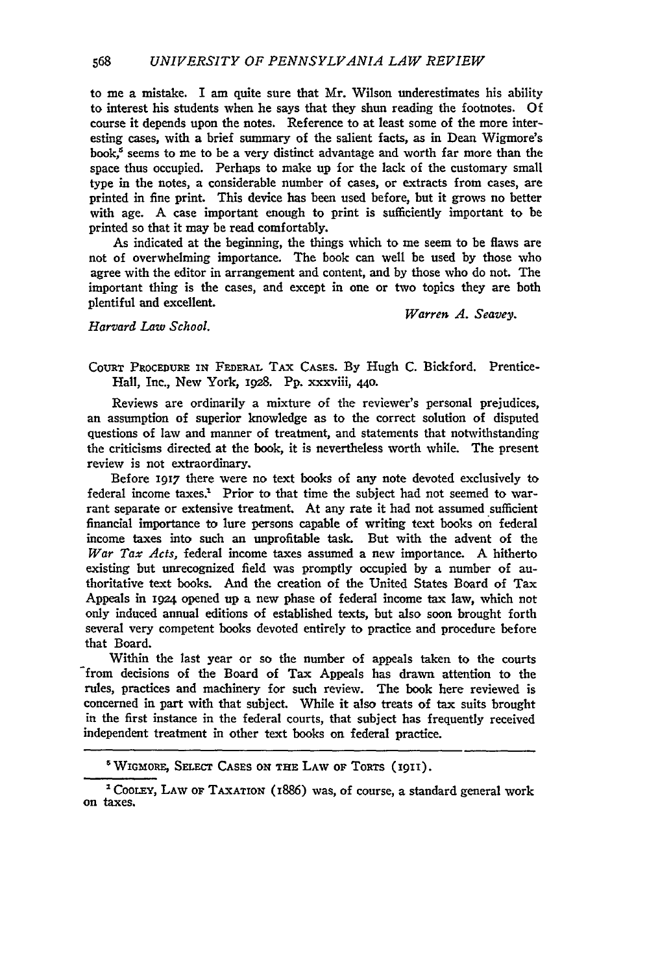to me a mistake. I am quite sure that Mr. Wilson underestimates his ability to interest his students when he says that they shun reading the footnotes. Of course it depends upon the notes. Reference to at least some of the more interesting cases, with a brief summary of the salient facts, as in Dean Wigmore's book, $5$  seems to me to be a very distinct advantage and worth far more than the space thus occupied. Perhaps to make up for the lack of the customary small type in the notes, a considerable number of cases, or extracts from cases, are printed in fine print. This device has been used before, but it grows no better with age. A case important enough to print is sufficiently important to be printed so that it may be read comfortably.

As indicated at the beginning, the things which to me seem to be flaws are not of overwhelming importance. The book can well be used by those who agree with the editor in arrangement and content, and by those who do not. The important thing is the cases, and except in one or two topics they are both plentiful and excellent. *Warren A. Seavey.*

*Harvard Law School.*

CouRT PocEnuRE **iN FED-RAL** TAx CASES. **By** Hugh **C.** Bickford. Prentice-Hall, Inc., New York, 1928. **Pp.** xxxviii, 440.

Reviews are ordinarily a mixture of the reviewer's personal prejudices, an assumption of superior knowledge as to the correct solution of disputed questions of law and manner of treatment, and statements that notwithstanding the criticisms directed at the book, it is nevertheless worth while. The present review is not extraordinary.

Before **1917** there were no text books of any note devoted exclusively to federal income taxes.<sup>2</sup> Prior to that time the subject had not seemed to warrant separate or extensive treatment. At any rate it had not assumed sufficient financial importance to lure persons capable of writing text books on federal income taxes into such an unprofitable task. But with the advent of the *War Tax Acts,* federal income taxes assumed a new importance. A hitherto existing but unrecognized field was promptly occupied by a number of authoritative text books. And the creation of the United States Board of Tax Appeals in i9z4 opened up a new phase of federal income tax law, which not only induced annual editions of established texts, but also soon brought forth several very competent books devoted entirely to practice and procedure before that Board.

Within the last year or so the number of appeals taken to the courts from decisions of the Board of Tax Appeals has drawn attention to the rules, practices and machinery for such review. The book here reviewed is concerned in part with that subject. While it also treats of tax suits brought in the first instance in the federal courts, that subject has frequently received independent treatment in other text books on federal practice.

<sup>&</sup>lt;sup>8</sup> WIGMORE, SELECT CASES ON THE LAW OF TORTS (1911).

**<sup>I</sup>**CooLEY, LAw **oF** TAXATION (i886) was, of course, a standard general work on taxes.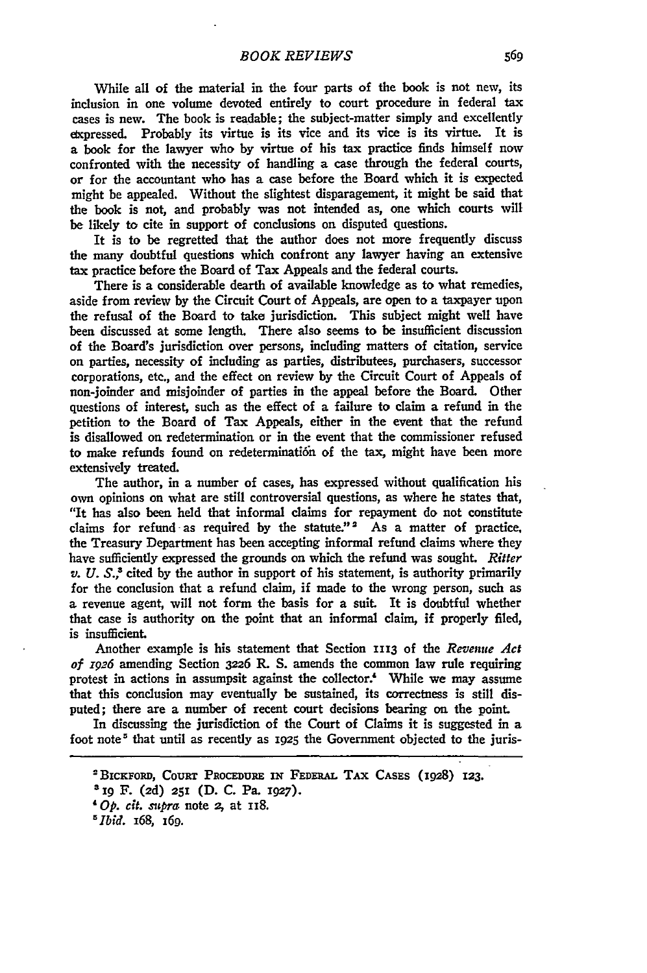While all of the material in the four parts of the book is not new, its inclusion in one volume devoted entirely to court procedure in federal tax cases is new. The book is readable; the subject-matter simply and excellently expressed. Probably its virtue is its vice and its vice is its virtue. It is a book for the lawyer who **by** virtue of his tax practice finds himself now confronted with the necessity of handling a case through the federal courts, or for the accountant who has a case before the Board which it is expected might be appealed. Without the slightest disparagement, it might be said that the book is not, and probably was not intended as, one which courts will be likely to cite in support of conclusions on disputed questions.

It is to be regretted that the author does not more frequently discuss the many doubtful questions which confront any lawyer having an extensive tax practice before the Board of Tax Appeals and the federal courts.

There is a considerable dearth of available knowledge as to what remedies, aside from review **by** the Circuit Court of Appeals, are open to a taxpayer upon the refusal of the Board to take jurisdiction. This subject might well have been discussed at some length. There also seems to be insufficient discussion of the Board's jurisdiction over persons, including matters of citation, service on parties, necessity of including as parties, distributees, purchasers, successor corporations, etc., and the effect on review by the Circuit Court of Appeals of non-joinder and misjoinder of parties in the appeal before the Board. Other questions of interest, such as the effect of a failure to claim a refund in the petition to the Board of Tax Appeals, either in the event that the refund is disallowed on redetermination or in the event that the commissioner refused to make refunds found on redetermination of the tax, might have been more extensively treated.

The author, in a number of cases, has expressed without qualification his own opinions on what are still controversial questions, as where he states that, "It has also been held that informal claims for repayment do not constitute claims for refund as required by the statute."<sup>2</sup> As a matter of practice, the Treasury Department has been accepting informal refund claims where they have sufficiently expressed the grounds on which the refund was sought. *Ritler v. U. S.,* cited by the author in support of his statement, is authority primarily for the conclusion that a refund claim, if made to the wrong person, such as a revenue agent, will not form the basis for a suit. It is doubtful whether that case is authority on the point that an informal claim, if properly filed, is insufficient.

Another example is his statement that Section **1113 of** the *Revenue Act of 1926* amending Section 3226 R. **S.** amends the common law rule requiring protest in actions in assumpsit against the collector." While we may assume that this conclusion may eventually be sustained, its correctness is still disputed; there are a number of recent court decisions bearing on the point.

In discussing the jurisdiction of the Court of Claims it is suggested in a foot note5 that until as recently as **1925** the Government objected to the juris-

<sup>&</sup>lt;sup>2</sup> BICKFORD, COURT PROCEDURE IN FEDERAL TAX CASES (1928) 123.

**<sup>3</sup> 19** F. (2d) **251 (D. C.** Pa. 1927).

*<sup>&</sup>quot;Op. cit. supra* note **2,** at 1i8.

*<sup>&#</sup>x27;Ibid.* 168, 169.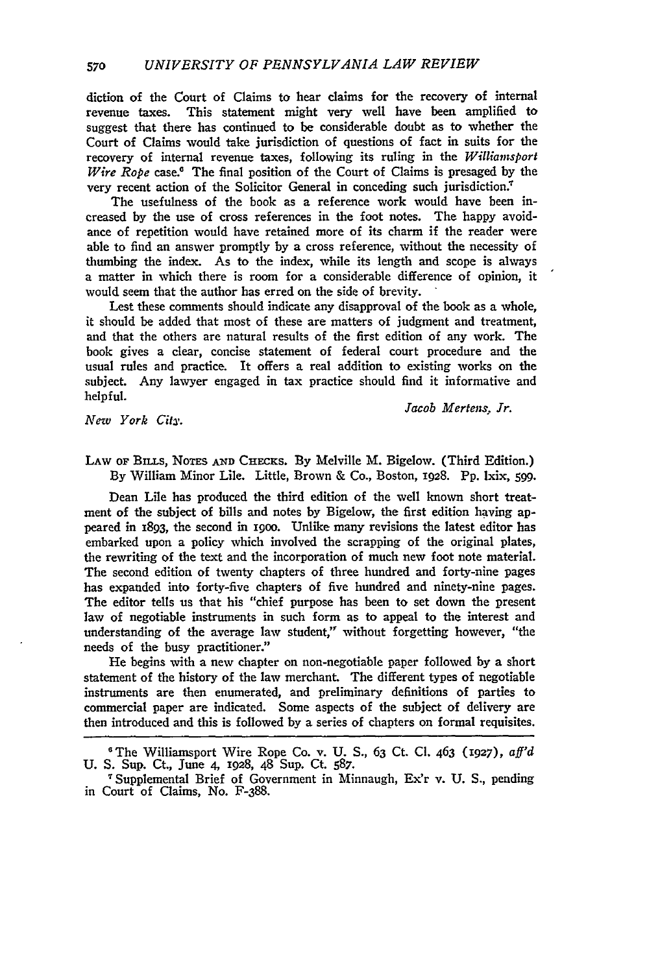diction of the Court of Claims to hear claims for the recovery of internal revenue taxes. This statement might very well have been amplified to suggest that there has continued to be considerable doubt as to whether the Court of Claims Would take jurisdiction of questions of fact in suits for the recovery of internal revenue taxes, following its ruling in the *Williamsport Wire Rope* case.<sup>6</sup> The final position of the Court of Claims is presaged by the very recent action of the Solicitor General in conceding such jurisdiction.<sup>7</sup>

The usefulness of the book as a reference work would have been increased by the use of cross references in the foot notes. The happy avoidance of repetition would have retained more of its charm if the reader were able to find an answer promptly by a cross reference, without the necessity of thumbing the index. As to the index, while its length and scope is always a matter in which there is room for a considerable difference of opinion, it would seem that the author has erred on the side of brevity.

Lest these comments should indicate any disapproval of the book as a whole, it should be added that most of these are matters of judgment and treatment, and that the others are natural results of the first edition of any work. The book gives a clear, concise statement of federal court procedure and the usual rules and practice. It offers a real addition to existing works on the subject. Any lawyer engaged in tax practice should find it informative and helpful. *Jacob Mertens. Jr. New York Gitx.*

LAW oF Bn.Ls, NOTES **AND CHECKS.** By Melville M. Bigelow. (Third Edition.) By William Minor Lile. Little, Brown & Co., Boston, 1928. Pp. lxix, 599.

Dean Lile has produced the third edition of the well known short treatment of the subject of bills and notes by Bigelow, the first edition having appeared in 1893, the second in igoo. Unlike many revisions the latest editor has embarked upon a policy which involved the scrapping of the original plates, the rewriting of the text and the incorporation of much new foot note material. The second edition of twenty chapters of three hundred and forty-nine pages has expanded into forty-five chapters of five hundred and ninety-nine pages. The editor tells us that his "chief purpose has been to set down the present law of negotiable instruments in such form as to appeal to the interest and understanding of the average law student," without forgetting however, "the needs of the busy practitioner."

He begins with a new chapter on non-negotiable paper followed by a short statement of the history of the law merchant. The different types of negotiable instruments are then enumerated, and preliminary definitions of parties to commercial paper are indicated. Some aspects of the subject of delivery are then introduced and this is followed by a series of chapters on formal requisites.

<sup>&#</sup>x27;The Williamsport Wire Rope Co. v. U. S., 63 Ct. Cl. 463 **(1927),** *aff'd* U. **S.** Sup. Ct., June 4, **1928,** 48 Sup. Ct. 587.

<sup>&</sup>quot;Supplemental Brief of Government in Minnaugh, Ex'r v. U. S., pending in Court of Claims, No. F-388.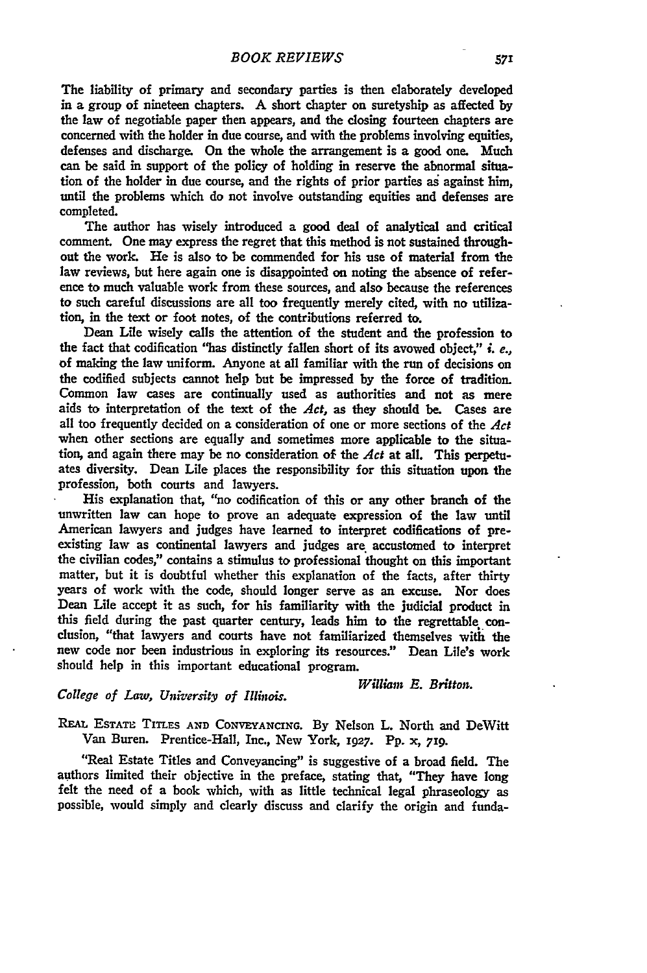The liability of primary and secondary parties is then elaborately developed in a group of nineteen chapters. A short chapter on suretyship as affected **by** the law of negotiable paper then appears, and the closing fourteen chapters are concerned with the holder in due course, and with the problems involving equities, defenses and discharge. On the whole the arrangement is a good one. Much can be said in support of the policy of holding in reserve the abnormal situation of the holder in due course, and the rights of prior parties as against him, until the problems which do not involve outstanding equities and defenses are completed.

The author has wisely introduced a good deal of analytical and critical comment. One may express the regret that this method is not sustained throughout the work. He is also to be commended for his use of material from the law reviews, but here again one is disappointed on noting the absence of refer- ence to much valuable work from these sources, and also because the references to such careful discussions are all too frequently merely cited, with no utilization, in the text or foot notes, of the contributions referred to.

Dean Lile wisely calls the attention of the student and the profession to the fact that codification "has distinctly fallen short of its avowed object," *i.* e., of making the law uniform. Anyone at all familiar with the run of decisions on the codified subjects cannot help but be impressed **by** the force of tradition. Common law cases are continually used as authorities and not as mere aids to interpretation of the text of the *Act,* as they should be. Cases are all too frequently decided on a consideration of one or more sections of the *Act* when other sections are equally and sometimes more applicable to the situation, and again there may be no consideration of the *Act* at all. This perpetuates diversity. Dean Lile places the responsibility for this situation upon the profession, both courts and lawyers.

His explanation that, "no codification of this or any other branch of the unwritten law can hope to prove an adequate expression of the law until American lawyers and judges have learned to interpret codifications of preexisting law as continental lawyers and judges are. accustomed to interpret the civilian codes," contains a stimulus to professional thought on this important matter, but it is doubtful whether this explanation of the facts, after thirty years of work with the code, should longer serve as an excuse. Nor does Dean Lile accept it as such, for his familiarity with the judicial product in this field during the past quarter century, leads him to the regrettable conclusion, "that lawyers and courts have not familiarized themselves with the new code nor been industrious in exploring its resources." Dean Lile's work should help in this important educational program.

## *William E. Britton.*

## *College of Law, University of Illinois.*

REAL ESTATh TiTLES **AND CONVEYANCING. By** Nelson L. North and DeWitt Van Buren. Prentice-Hall, Inc., New York, 1927. Pp. x, **719.**

"Real Estate Titles and Conveyancing" is suggestive of a broad field. The authors limited their objective in the preface, stating that, "They have long felt the need of a book which, with as little technical legal phraseology as possible, would simply and clearly discuss and clarify the origin and funda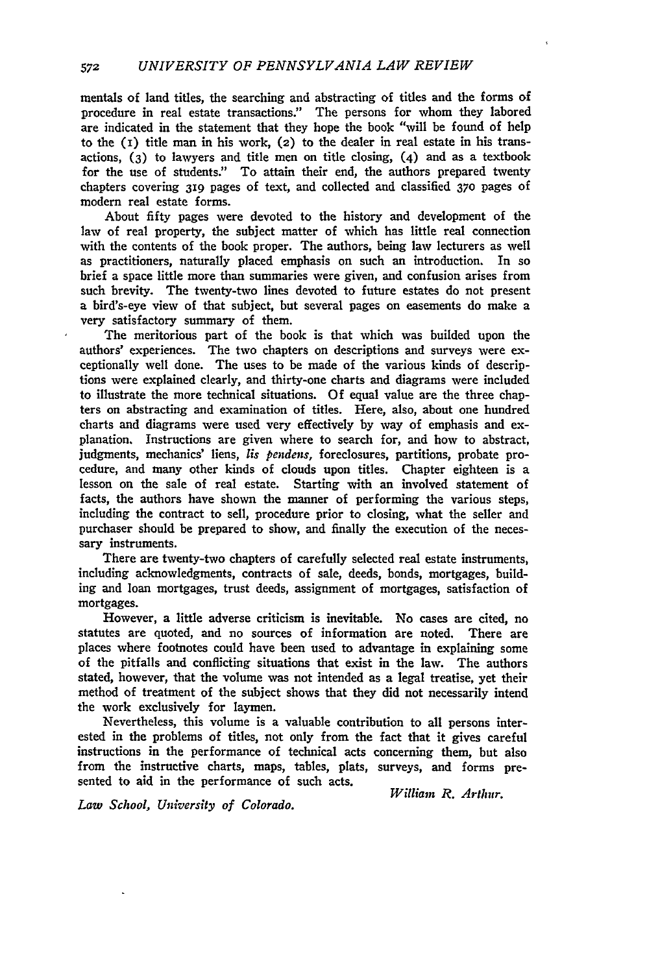mentals of land titles, the searching and abstracting of titles and the forms of procedure in real estate transactions." The persons for whom they labored are indicated in the statement that they hope the book "will be found of help to the **(i)** title man in his work, (2) to the dealer in real estate in his transactions, (3) to lawyers and title men on title closing, (4) and as a textbook for the use of students." To attain their end, the authors prepared twenty chapters covering **319** pages of text, and collected and classified **370** pages of modern real estate forms.

About fifty pages were devoted to the history and development of the law of real property, the subject matter of which has little real connection with the contents of the book proper. The authors, being law lecturers as well as practitioners, naturally placed emphasis on such an introduction. In so brief a space little more than summaries were given, and confusion arises from such brevity. The twenty-two lines devoted to future estates do not present a bird's-eye view of that subject, but several pages on easements do make a very satisfactory summary of them.

The meritorious part of the book is that which was builded upon the authors' experiences. The two chapters on descriptions and surveys were exceptionally well done. The uses to be made of the various kinds of descriptions were explained clearly, and thirty-one charts and diagrams were included to illustrate the more technical situations. Of equal value are the three chapters on abstracting and examination of titles. Here, also, about one hundred charts and diagrams were used very effectively by way of emphasis and explanation. Instructions are given where to search for, and how to abstract, judgments, mechanics' liens, lis *pendens,* foreclosures, partitions, probate procedure, and many other kinds of clouds upon titles. Chapter eighteen is a lesson on the sale of real estate. Starting with an involved statement of facts, the authors have shown the manner of performing the various steps, including the contract to sell, procedure prior to closing, what the seller and purchaser should be prepared to show, and finally the execution of the necessary instruments.

There are twenty-two chapters of carefully selected real estate instruments, including acknowledgments, contracts of sale, deeds, bonds, mortgages, building and loan mortgages, trust deeds, assignment of mortgages, satisfaction of mortgages.

However, a little adverse criticism is inevitable. No cases are cited, no statutes are quoted, and no sources of information are noted. There are places where footnotes could have been used to advantage in explaining some of the pitfalls and conflicting situations that exist in the law. The authors stated, however, that the volume was not intended as a legal treatise, yet their method of treatment of the subject shows that they did not necessarily intend the work exclusively for laymen.

Nevertheless, this volume is a valuable contribution to all persons interested in the problems of titles, not only from the fact that it gives careful instructions in the performance of technical acts concerning them, but also from the instructive charts, maps, tables, plats, surveys, and forms presented to aid in the performance of such acts.

*Law School, University of Colorado.*

*William R. Arthur.*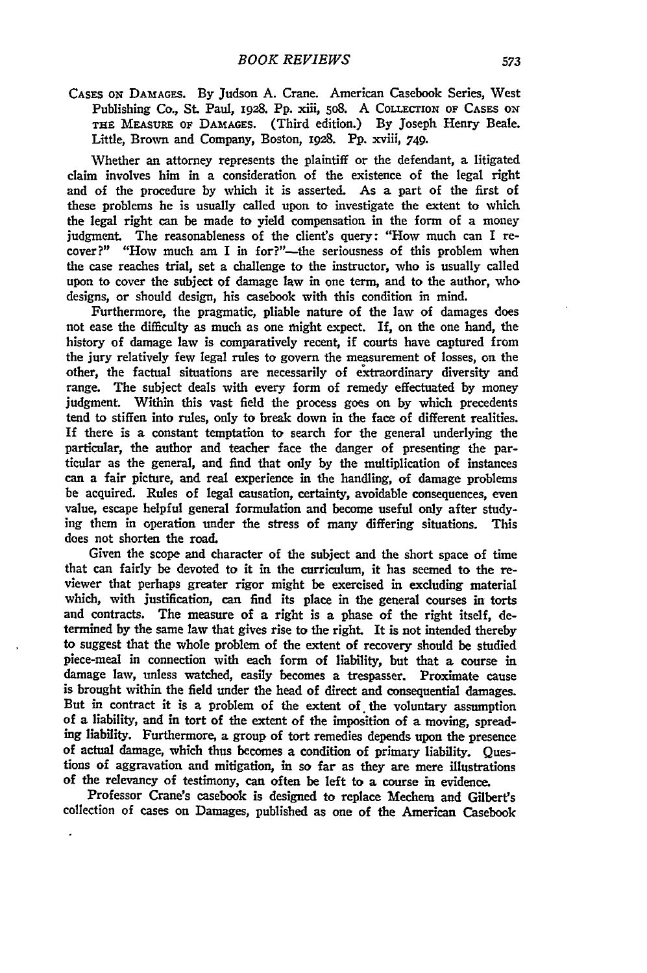CASES ON DAMAGES. By Judson A. Crane. American Casebook Series, West Publishing Co., St. Paul, 1928. Pp. xiii, 5o8. A COLLECTION OF CASES ON THE **MEASURE** OF DAMAGES. (Third edition.) By Joseph Henry Beale. Little, Brown and Company, Boston, 1928. Pp. xviii, 749.

Whether an attorney represents the plaintiff or the defendant, a litigated claim involves him in a consideration of the existence of the legal right and of the procedure by which it is asserted. As a part of the first of these problems he is usually called upon to investigate the extent to which the legal right can be made to yield compensation in the form of a money judgment. The reasonableness of the client's query: "How much can I recover?" "How much am I in for?"--the seriousness of this problem when the case reaches trial, set a challenge to the instructor, who is usually called upon to cover the subject of damage law in one term, and to the author, who designs, or should design, his casebook with this condition in mind.

Furthermore, the pragmatic, pliable nature of the law of damages does not ease the difficulty as much as one might expect. If, on the one hand, the history of damage law is comparatively recent, if courts have captured from the jury relatively few legal rules to govern the measurement of losses, on the other, the factual situations are necessarily of extraordinary diversity and range. The subject deals with every form of remedy effectuated **by** money judgment. Within this vast field the process goes on by which precedents tend to stiffen into rules, only to break down in the face of different realities. If there is a constant temptation to search for the general underlying the particular, the author and teacher face the danger of presenting the particular as the general, and find that only **by** the multiplication of instances can a fair picture, and real experience in the handling, of damage problems be acquired. Rules of legal causation, certainty, avoidable consequences, even value, escape helpful general formulation and become useful only after studying them in operation under the stress of many differing situations. This does not shorten the road.

Given the scope and character of the subject and the short space of time that can fairly be devoted to it in the curriculum, it has seemed to the reviewer that perhaps greater rigor might be exercised in excluding material which, with justification, can find its place in the general courses in torts and contracts. The measure of a right is a phase of the right itself, determined **by** the same law that gives rise to the right. It is not intended thereby to suggest that the whole problem of the extent of recovery should be studied piece-meal in connection with each form of liability, but that a course in damage law, unless watched, easily becomes a trespasser. Proximate cause is brought within the field under the head of direct and consequential damages. But in contract it is a problem of the extent of the voluntary assumption of a liability, and in tort of the extent of the imposition of a moving, spreading liability. Furthermore, a group of tort remedies depends upon the presence of actual damage, which thus becomes a condition of primary liability. Questions of aggravation and mitigation, in so far as they are mere illustrations of the relevancy of testimony, can often be left to a course in evidence.

Professor Crane's casebook is designed to replace Mechem and Gilbert's collection of cases on Damages, published as one of the American Casebook